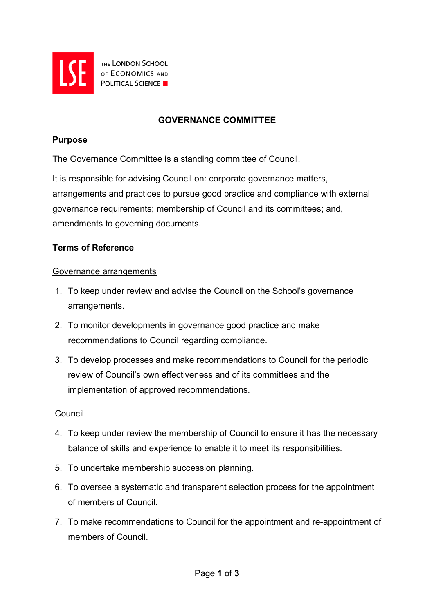

THE LONDON SCHOOL **EXERCISE THE LONDON SCHOOL POLITICAL SCIENCE** 

# **GOVERNANCE COMMITTEE**

### **Purpose**

The Governance Committee is a standing committee of Council.

It is responsible for advising Council on: corporate governance matters, arrangements and practices to pursue good practice and compliance with external governance requirements; membership of Council and its committees; and, amendments to governing documents.

## **Terms of Reference**

### Governance arrangements

- 1. To keep under review and advise the Council on the School's governance arrangements.
- 2. To monitor developments in governance good practice and make recommendations to Council regarding compliance.
- 3. To develop processes and make recommendations to Council for the periodic review of Council's own effectiveness and of its committees and the implementation of approved recommendations.

### **Council**

- 4. To keep under review the membership of Council to ensure it has the necessary balance of skills and experience to enable it to meet its responsibilities.
- 5. To undertake membership succession planning.
- 6. To oversee a systematic and transparent selection process for the appointment of members of Council.
- 7. To make recommendations to Council for the appointment and re-appointment of members of Council.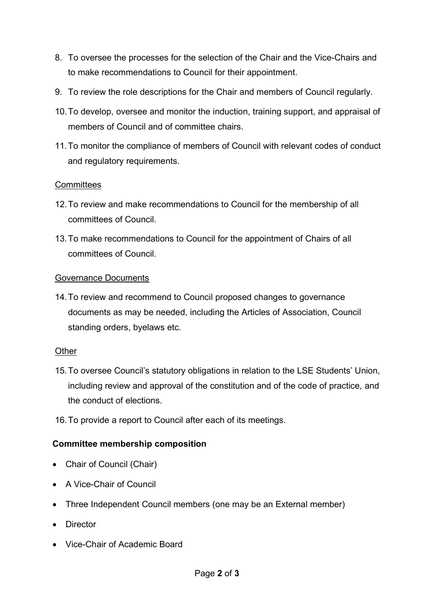- 8. To oversee the processes for the selection of the Chair and the Vice-Chairs and to make recommendations to Council for their appointment.
- 9. To review the role descriptions for the Chair and members of Council regularly.
- 10.To develop, oversee and monitor the induction, training support, and appraisal of members of Council and of committee chairs.
- 11.To monitor the compliance of members of Council with relevant codes of conduct and regulatory requirements.

## **Committees**

- 12.To review and make recommendations to Council for the membership of all committees of Council.
- 13.To make recommendations to Council for the appointment of Chairs of all committees of Council.

### Governance Documents

14.To review and recommend to Council proposed changes to governance documents as may be needed, including the Articles of Association, Council standing orders, byelaws etc.

### **Other**

- 15.To oversee Council's statutory obligations in relation to the LSE Students' Union, including review and approval of the constitution and of the code of practice, and the conduct of elections.
- 16.To provide a report to Council after each of its meetings.

## **Committee membership composition**

- Chair of Council (Chair)
- A Vice-Chair of Council
- Three Independent Council members (one may be an External member)
- Director
- Vice-Chair of Academic Board